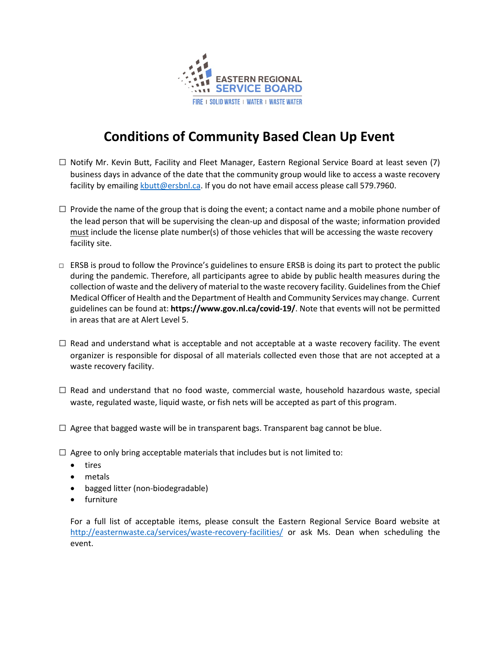

## **Conditions of Community Based Clean Up Event**

- $\Box$  Notify Mr. Kevin Butt, Facility and Fleet Manager, Eastern Regional Service Board at least seven (7) business days in advance of the date that the community group would like to access a waste recovery facility by emailing [kbutt@ersbnl.ca.](mailto:kbutt@ersbnl.ca) If you do not have email access please call 579.7960.
- $\square$  Provide the name of the group that is doing the event; a contact name and a mobile phone number of the lead person that will be supervising the clean-up and disposal of the waste; information provided must include the license plate number(s) of those vehicles that will be accessing the waste recovery facility site.
- $\Box$  ERSB is proud to follow the Province's guidelines to ensure ERSB is doing its part to protect the public during the pandemic. Therefore, all participants agree to abide by public health measures during the collection of waste and the delivery of material to the waste recovery facility. Guidelines from the Chief Medical Officer of Health and the Department of Health and Community Services may change. Current guidelines can be found at: **<https://www.gov.nl.ca/covid-19/>**. Note that events will not be permitted in areas that are at Alert Level 5.
- $\square$  Read and understand what is acceptable and not acceptable at a waste recovery facility. The event organizer is responsible for disposal of all materials collected even those that are not accepted at a waste recovery facility.
- $\square$  Read and understand that no food waste, commercial waste, household hazardous waste, special waste, regulated waste, liquid waste, or fish nets will be accepted as part of this program.
- $\square$  Agree that bagged waste will be in transparent bags. Transparent bag cannot be blue.
- $\square$  Agree to only bring acceptable materials that includes but is not limited to:
	- tires
	- metals
	- bagged litter (non-biodegradable)
	- furniture

For a full list of acceptable items, please consult the Eastern Regional Service Board website at <http://easternwaste.ca/services/waste-recovery-facilities/> or ask Ms. Dean when scheduling the event.